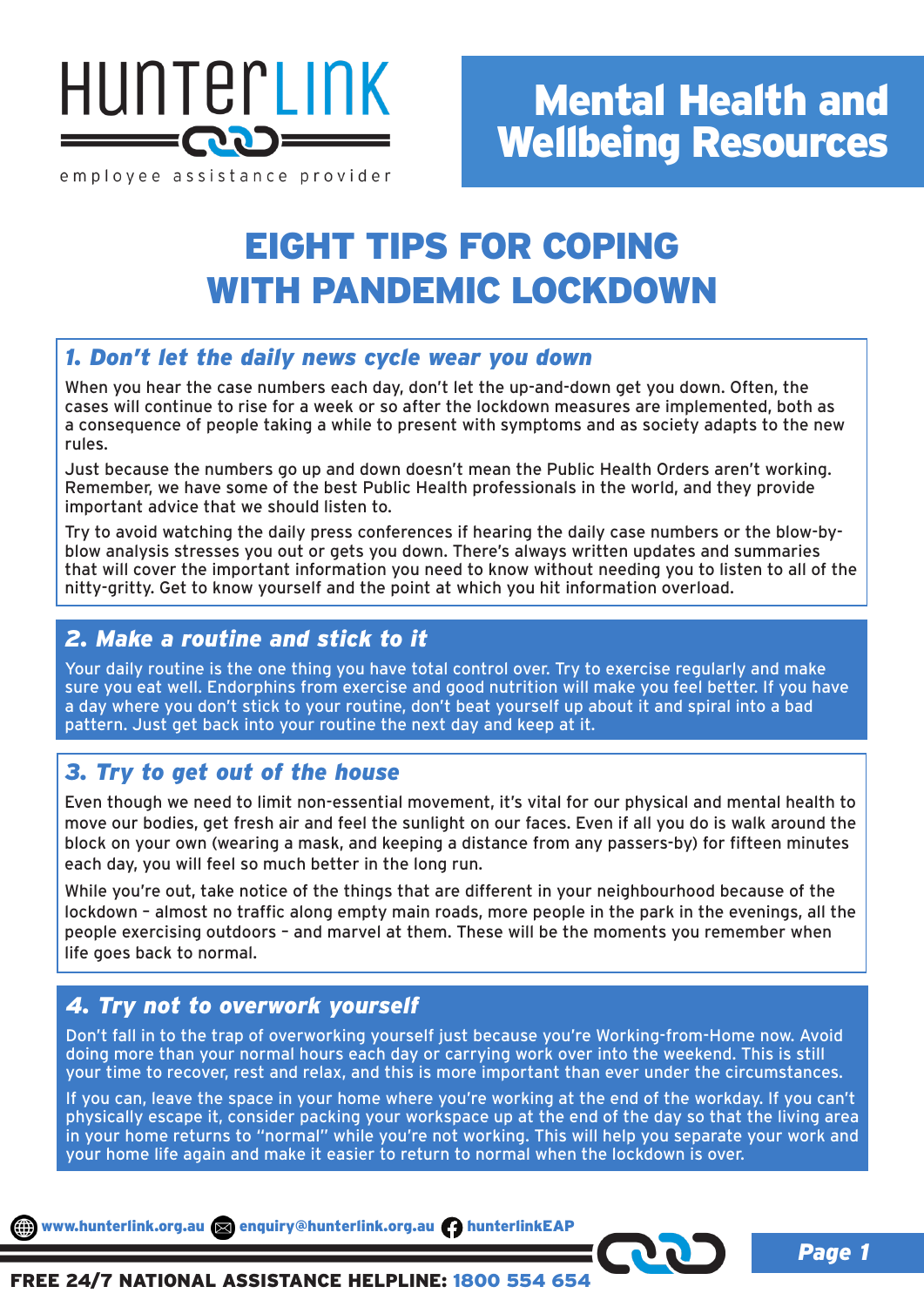

employee assistance provider

# EIGHT TIPS FOR COPING WITH PANDEMIC LOCKDOWN

### *1. Don't let the daily news cycle wear you down*

When you hear the case numbers each day, don't let the up-and-down get you down. Often, the cases will continue to rise for a week or so after the lockdown measures are implemented, both as a consequence of people taking a while to present with symptoms and as society adapts to the new rules.

Just because the numbers go up and down doesn't mean the Public Health Orders aren't working. Remember, we have some of the best Public Health professionals in the world, and they provide important advice that we should listen to.

Try to avoid watching the daily press conferences if hearing the daily case numbers or the blow-byblow analysis stresses you out or gets you down. There's always written updates and summaries that will cover the important information you need to know without needing you to listen to all of the nitty-gritty. Get to know yourself and the point at which you hit information overload.

### *2. Make a routine and stick to it*

Your daily routine is the one thing you have total control over. Try to exercise regularly and make sure you eat well. Endorphins from exercise and good nutrition will make you feel better. If you have a day where you don't stick to your routine, don't beat yourself up about it and spiral into a bad pattern. Just get back into your routine the next day and keep at it.

## *3. Try to get out of the house*

Even though we need to limit non-essential movement, it's vital for our physical and mental health to move our bodies, get fresh air and feel the sunlight on our faces. Even if all you do is walk around the block on your own (wearing a mask, and keeping a distance from any passers-by) for fifteen minutes each day, you will feel so much better in the long run.

While you're out, take notice of the things that are different in your neighbourhood because of the lockdown – almost no traffic along empty main roads, more people in the park in the evenings, all the people exercising outdoors – and marvel at them. These will be the moments you remember when life goes back to normal.

## *4. Try not to overwork yourself*

Don't fall in to the trap of overworking yourself just because you're Working-from-Home now. Avoid doing more than your normal hours each day or carrying work over into the weekend. This is still your time to recover, rest and relax, and this is more important than ever under the circumstances.

If you can, leave the space in your home where you're working at the end of the workday. If you can't physically escape it, consider packing your workspace up at the end of the day so that the living area in your home returns to "normal" while you're not working. This will help you separate your work and your home life again and make it easier to return to normal when the lockdown is over.

www.hunterlink.org.au and enquiry@hunterlink.org.au hunterlinkEAP